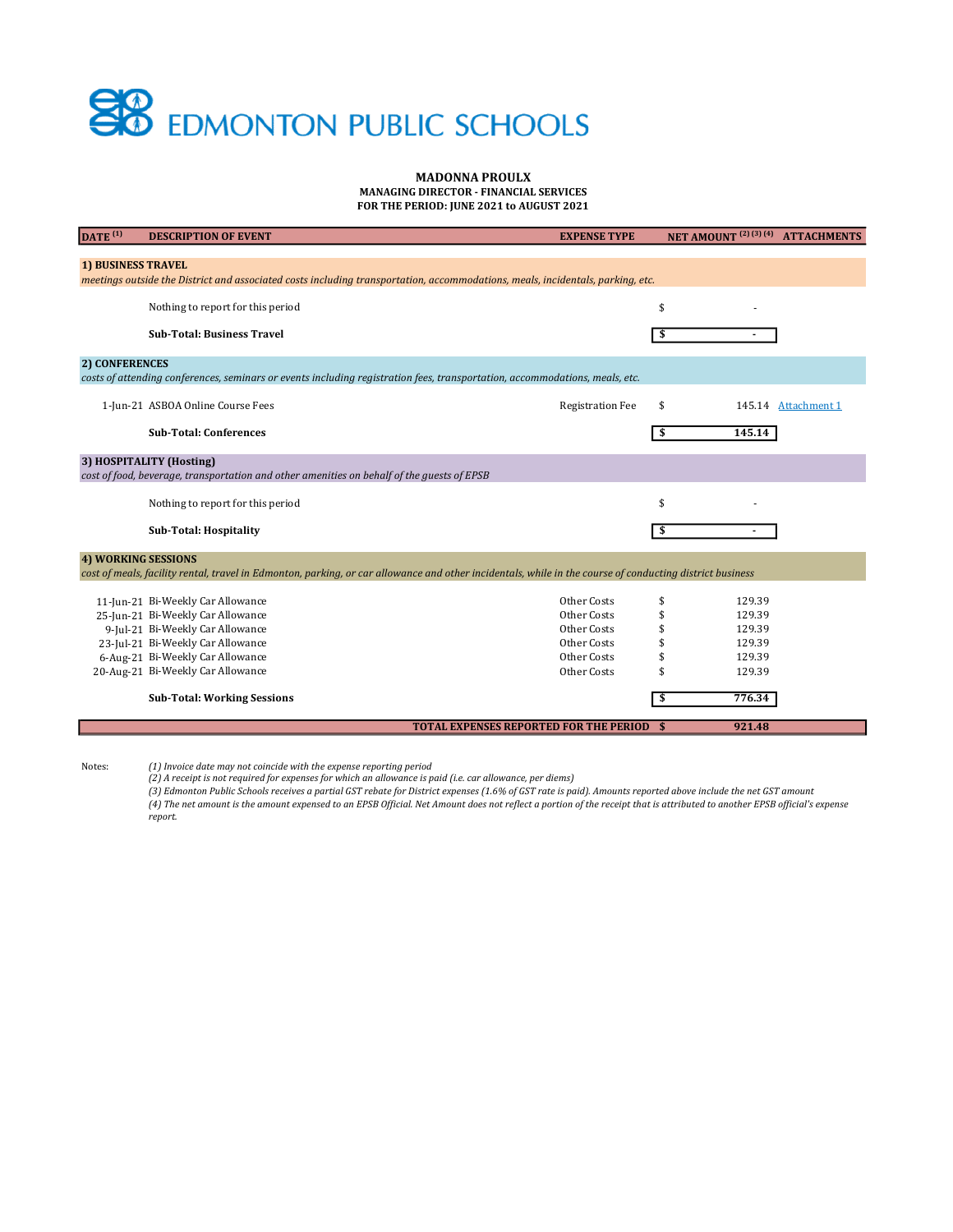## **SP** EDMONTON PUBLIC SCHOOLS

## MADONNA PROULX MANAGING DIRECTOR - FINANCIAL SERVICES

FOR THE PERIOD: JUNE 2021 to AUGUST 2021

| DATA <sup>(1)</sup><br><b>DESCRIPTION OF EVENT</b>                                                                                                       | <b>EXPENSE TYPE</b>                           | NET AMOUNT <sup>(2)(3)(4)</sup> ATTACHMENTS |                     |  |  |
|----------------------------------------------------------------------------------------------------------------------------------------------------------|-----------------------------------------------|---------------------------------------------|---------------------|--|--|
|                                                                                                                                                          |                                               |                                             |                     |  |  |
| <b>1) BUSINESS TRAVEL</b>                                                                                                                                |                                               |                                             |                     |  |  |
| meetings outside the District and associated costs including transportation, accommodations, meals, incidentals, parking, etc.                           |                                               |                                             |                     |  |  |
| Nothing to report for this period                                                                                                                        |                                               | \$                                          |                     |  |  |
|                                                                                                                                                          |                                               |                                             |                     |  |  |
| <b>Sub-Total: Business Travel</b>                                                                                                                        |                                               | \$                                          |                     |  |  |
|                                                                                                                                                          |                                               |                                             |                     |  |  |
| 2) CONFERENCES                                                                                                                                           |                                               |                                             |                     |  |  |
| costs of attending conferences, seminars or events including registration fees, transportation, accommodations, meals, etc.                              |                                               |                                             |                     |  |  |
|                                                                                                                                                          |                                               |                                             |                     |  |  |
| 1-Jun-21 ASBOA Online Course Fees                                                                                                                        | <b>Registration Fee</b>                       | \$                                          | 145.14 Attachment 1 |  |  |
| <b>Sub-Total: Conferences</b>                                                                                                                            |                                               | 145.14<br>\$                                |                     |  |  |
|                                                                                                                                                          |                                               |                                             |                     |  |  |
| 3) HOSPITALITY (Hosting)                                                                                                                                 |                                               |                                             |                     |  |  |
| cost of food, beverage, transportation and other amenities on behalf of the guests of EPSB                                                               |                                               |                                             |                     |  |  |
|                                                                                                                                                          |                                               |                                             |                     |  |  |
| Nothing to report for this period                                                                                                                        |                                               | \$                                          |                     |  |  |
|                                                                                                                                                          |                                               |                                             |                     |  |  |
| <b>Sub-Total: Hospitality</b>                                                                                                                            |                                               | \$                                          |                     |  |  |
| <b>4) WORKING SESSIONS</b>                                                                                                                               |                                               |                                             |                     |  |  |
| cost of meals, facility rental, travel in Edmonton, parking, or car allowance and other incidentals, while in the course of conducting district business |                                               |                                             |                     |  |  |
|                                                                                                                                                          |                                               |                                             |                     |  |  |
| 11-Jun-21 Bi-Weekly Car Allowance                                                                                                                        | Other Costs                                   | \$<br>129.39                                |                     |  |  |
| 25-Jun-21 Bi-Weekly Car Allowance                                                                                                                        | Other Costs                                   | \$<br>129.39                                |                     |  |  |
| 9-Jul-21 Bi-Weekly Car Allowance                                                                                                                         | Other Costs                                   | \$<br>129.39                                |                     |  |  |
| 23-Jul-21 Bi-Weekly Car Allowance                                                                                                                        | Other Costs                                   | 129.39<br>\$                                |                     |  |  |
| 6-Aug-21 Bi-Weekly Car Allowance                                                                                                                         | Other Costs                                   | 129.39<br>\$                                |                     |  |  |
| 20-Aug-21 Bi-Weekly Car Allowance                                                                                                                        | Other Costs                                   | 129.39<br>\$                                |                     |  |  |
| <b>Sub-Total: Working Sessions</b>                                                                                                                       |                                               | 776.34<br>\$                                |                     |  |  |
|                                                                                                                                                          |                                               |                                             |                     |  |  |
|                                                                                                                                                          | <b>TOTAL EXPENSES REPORTED FOR THE PERIOD</b> | 921.48<br>S                                 |                     |  |  |

Notes:

(1) Invoice date may not coincide with the expense reporting period (2) A receipt is not required for expenses for which an allowance is paid (i.e. car allowance, per diems)

(3) Edmonton Public Schools receives a partial GST rebate for District expenses (1.6% of GST rate is paid). Amounts reported above include the net GST amount (4) The net amount is the amount expensed to an EPSB Official. Net Amount does not reflect a portion of the receipt that is attributed to another EPSB official's expense report.